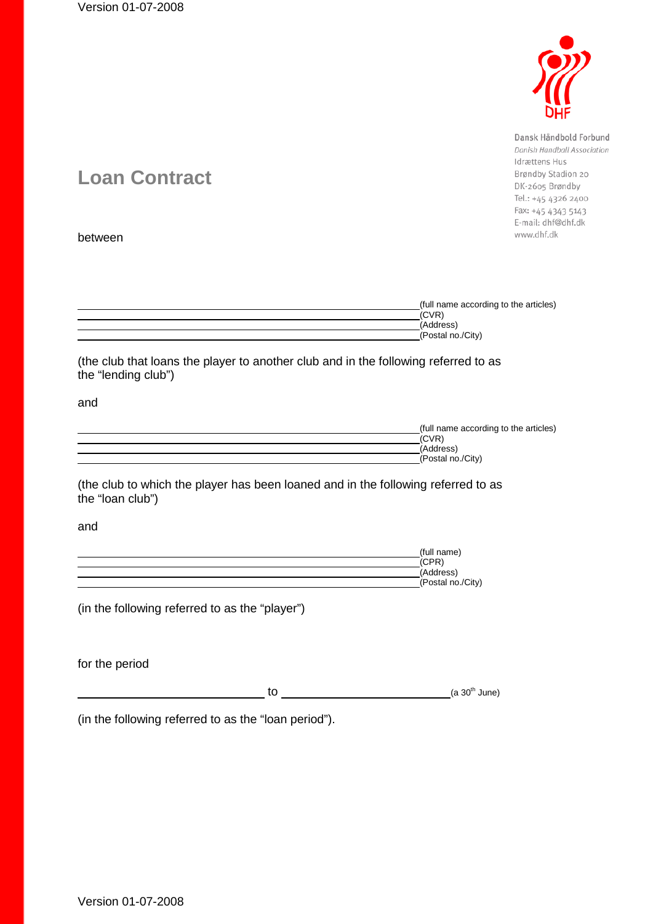

Dansk Håndbold Forbund Danish Handball Association Idrættens Hus Brøndby Stadion 20 DK-2605 Brøndby Tel.: +45 4326 2400 Fax: +45 4343 5143 E-mail: dhf@dhf.dk www.dhf.dk

# **Loan Contract**

between

| (full name according to the articles) |
|---------------------------------------|
| (CVR)                                 |
| (Address)                             |
| (Postal no./City)                     |
|                                       |

(the club that loans the player to another club and in the following referred to as the "lending club")

and

| (full name according to the articles) |
|---------------------------------------|
| (CVR)                                 |
| (Address)                             |
| (Postal no./City)                     |
|                                       |

(the club to which the player has been loaned and in the following referred to as the "loan club")

and

| (full name)       |
|-------------------|
| (CPR)             |
| (Address)         |
| (Postal no./City) |

(in the following referred to as the "player")

for the period

 $\text{to}$  (a 30<sup>th</sup> June)

(in the following referred to as the "loan period").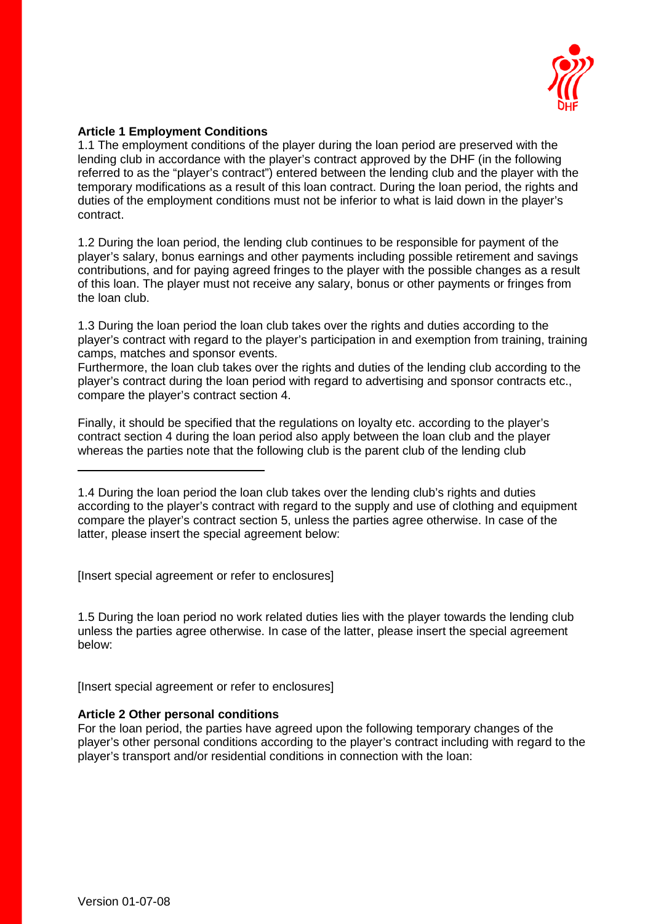

#### **Article 1 Employment Conditions**

1.1 The employment conditions of the player during the loan period are preserved with the lending club in accordance with the player's contract approved by the DHF (in the following referred to as the "player's contract") entered between the lending club and the player with the temporary modifications as a result of this loan contract. During the loan period, the rights and duties of the employment conditions must not be inferior to what is laid down in the player's contract.

1.2 During the loan period, the lending club continues to be responsible for payment of the player's salary, bonus earnings and other payments including possible retirement and savings contributions, and for paying agreed fringes to the player with the possible changes as a result of this loan. The player must not receive any salary, bonus or other payments or fringes from the loan club.

1.3 During the loan period the loan club takes over the rights and duties according to the player's contract with regard to the player's participation in and exemption from training, training camps, matches and sponsor events.

Furthermore, the loan club takes over the rights and duties of the lending club according to the player's contract during the loan period with regard to advertising and sponsor contracts etc., compare the player's contract section 4.

Finally, it should be specified that the regulations on loyalty etc. according to the player's contract section 4 during the loan period also apply between the loan club and the player whereas the parties note that the following club is the parent club of the lending club

[Insert special agreement or refer to enclosures]

1.5 During the loan period no work related duties lies with the player towards the lending club unless the parties agree otherwise. In case of the latter, please insert the special agreement below:

[Insert special agreement or refer to enclosures]

#### **Article 2 Other personal conditions**

For the loan period, the parties have agreed upon the following temporary changes of the player's other personal conditions according to the player's contract including with regard to the player's transport and/or residential conditions in connection with the loan:

<sup>1.4</sup> During the loan period the loan club takes over the lending club's rights and duties according to the player's contract with regard to the supply and use of clothing and equipment compare the player's contract section 5, unless the parties agree otherwise. In case of the latter, please insert the special agreement below: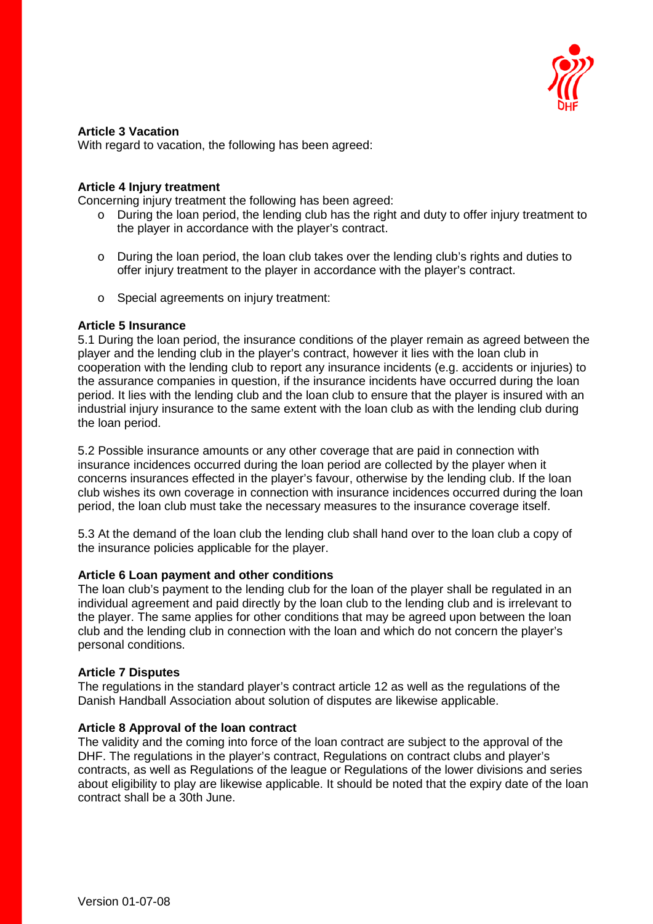

#### **Article 3 Vacation**

With regard to vacation, the following has been agreed:

#### **Article 4 Injury treatment**

Concerning injury treatment the following has been agreed:

- o During the loan period, the lending club has the right and duty to offer injury treatment to the player in accordance with the player's contract.
- o During the loan period, the loan club takes over the lending club's rights and duties to offer injury treatment to the player in accordance with the player's contract.
- o Special agreements on injury treatment:

#### **Article 5 Insurance**

5.1 During the loan period, the insurance conditions of the player remain as agreed between the player and the lending club in the player's contract, however it lies with the loan club in cooperation with the lending club to report any insurance incidents (e.g. accidents or injuries) to the assurance companies in question, if the insurance incidents have occurred during the loan period. It lies with the lending club and the loan club to ensure that the player is insured with an industrial injury insurance to the same extent with the loan club as with the lending club during the loan period.

5.2 Possible insurance amounts or any other coverage that are paid in connection with insurance incidences occurred during the loan period are collected by the player when it concerns insurances effected in the player's favour, otherwise by the lending club. If the loan club wishes its own coverage in connection with insurance incidences occurred during the loan period, the loan club must take the necessary measures to the insurance coverage itself.

5.3 At the demand of the loan club the lending club shall hand over to the loan club a copy of the insurance policies applicable for the player.

#### **Article 6 Loan payment and other conditions**

The loan club's payment to the lending club for the loan of the player shall be regulated in an individual agreement and paid directly by the loan club to the lending club and is irrelevant to the player. The same applies for other conditions that may be agreed upon between the loan club and the lending club in connection with the loan and which do not concern the player's personal conditions.

#### **Article 7 Disputes**

The regulations in the standard player's contract article 12 as well as the regulations of the Danish Handball Association about solution of disputes are likewise applicable.

#### **Article 8 Approval of the loan contract**

The validity and the coming into force of the loan contract are subject to the approval of the DHF. The regulations in the player's contract, Regulations on contract clubs and player's contracts, as well as Regulations of the league or Regulations of the lower divisions and series about eligibility to play are likewise applicable. It should be noted that the expiry date of the loan contract shall be a 30th June.